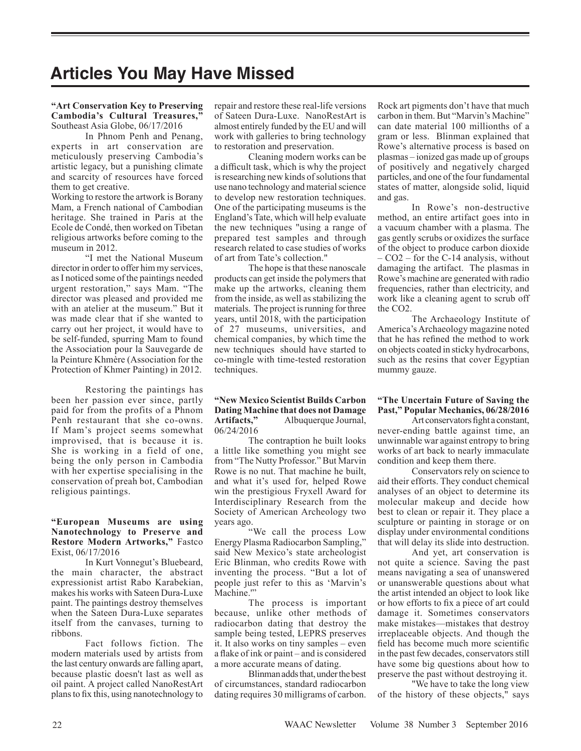# **Articles You May Have Missed**

#### **"Art Conservation Key to Preserving Cambodia's Cultural Treasures,"**  Southeast Asia Globe, 06/17/2016

In Phnom Penh and Penang, experts in art conservation are meticulously preserving Cambodia's artistic legacy, but a punishing climate and scarcity of resources have forced them to get creative.

Working to restore the artwork is Borany Mam, a French national of Cambodian heritage. She trained in Paris at the Ecole de Condé, then worked on Tibetan religious artworks before coming to the museum in 2012.

"I met the National Museum director in order to offer him my services, as I noticed some of the paintings needed urgent restoration," says Mam. "The director was pleased and provided me with an atelier at the museum." But it was made clear that if she wanted to carry out her project, it would have to be self-funded, spurring Mam to found the Association pour la Sauvegarde de la Peinture Khmère (Association for the Protection of Khmer Painting) in 2012.

Restoring the paintings has been her passion ever since, partly paid for from the profits of a Phnom Penh restaurant that she co-owns. If Mam's project seems somewhat improvised, that is because it is. She is working in a field of one, being the only person in Cambodia with her expertise specialising in the conservation of preah bot, Cambodian religious paintings.

## **"European Museums are using Nanotechnology to Preserve and Restore Modern Artworks,"** Fastco Exist, 06/17/2016

In Kurt Vonnegut's Bluebeard, the main character, the abstract expressionist artist Rabo Karabekian, makes his works with Sateen Dura-Luxe paint. The paintings destroy themselves when the Sateen Dura-Luxe separates itself from the canvases, turning to ribbons.

Fact follows fiction. The modern materials used by artists from the last century onwards are falling apart, because plastic doesn't last as well as oil paint. A project called NanoRestArt plans to fix this, using nanotechnology to

repair and restore these real-life versions of Sateen Dura-Luxe. NanoRestArt is almost entirely funded by the EU and will work with galleries to bring technology to restoration and preservation.

Cleaning modern works can be a difficult task, which is why the project is researching new kinds of solutions that use nano technology and material science to develop new restoration techniques. One of the participating museums is the England's Tate, which will help evaluate the new techniques "using a range of prepared test samples and through research related to case studies of works of art from Tate's collection."

The hope is that these nanoscale products can get inside the polymers that make up the artworks, cleaning them from the inside, as well as stabilizing the materials. The project is running for three years, until 2018, with the participation of 27 museums, universities, and chemical companies, by which time the new techniques should have started to co-mingle with time-tested restoration techniques.

## **"New Mexico Scientist Builds Carbon Dating Machine that does not Damage Artifacts,"** Albuquerque Journal, 06/24/2016

The contraption he built looks a little like something you might see from "The Nutty Professor." But Marvin Rowe is no nut. That machine he built, and what it's used for, helped Rowe win the prestigious Fryxell Award for Interdisciplinary Research from the Society of American Archeology two years ago.

"We call the process Low Energy Plasma Radiocarbon Sampling," said New Mexico's state archeologist Eric Blinman, who credits Rowe with inventing the process. "But a lot of people just refer to this as 'Marvin's Machine.""

The process is important because, unlike other methods of radiocarbon dating that destroy the sample being tested, LEPRS preserves it. It also works on tiny samples – even a flake of ink or paint – and is considered a more accurate means of dating.

Blinman adds that, under the best of circumstances, standard radiocarbon dating requires 30 milligrams of carbon. Rock art pigments don't have that much carbon in them. But "Marvin's Machine" can date material 100 millionths of a gram or less. Blinman explained that Rowe's alternative process is based on plasmas – ionized gas made up of groups of positively and negatively charged particles, and one of the four fundamental states of matter, alongside solid, liquid and gas.

In Rowe's non-destructive method, an entire artifact goes into in a vacuum chamber with a plasma. The gas gently scrubs or oxidizes the surface of the object to produce carbon dioxide – CO2 – for the C-14 analysis, without damaging the artifact. The plasmas in Rowe's machine are generated with radio frequencies, rather than electricity, and work like a cleaning agent to scrub off the CO2.

The Archaeology Institute of America's Archaeology magazine noted that he has refined the method to work on objects coated in sticky hydrocarbons, such as the resins that cover Egyptian mummy gauze.

## **"The Uncertain Future of Saving the Past," Popular Mechanics, 06/28/2016**

Art conservators fight a constant, never-ending battle against time, an unwinnable war against entropy to bring works of art back to nearly immaculate condition and keep them there.

Conservators rely on science to aid their efforts. They conduct chemical analyses of an object to determine its molecular makeup and decide how best to clean or repair it. They place a sculpture or painting in storage or on display under environmental conditions that will delay its slide into destruction.

And yet, art conservation is not quite a science. Saving the past means navigating a sea of unanswered or unanswerable questions about what the artist intended an object to look like or how efforts to fix a piece of art could damage it. Sometimes conservators make mistakes—mistakes that destroy irreplaceable objects. And though the field has become much more scientific in the past few decades, conservators still have some big questions about how to preserve the past without destroying it.

"We have to take the long view of the history of these objects," says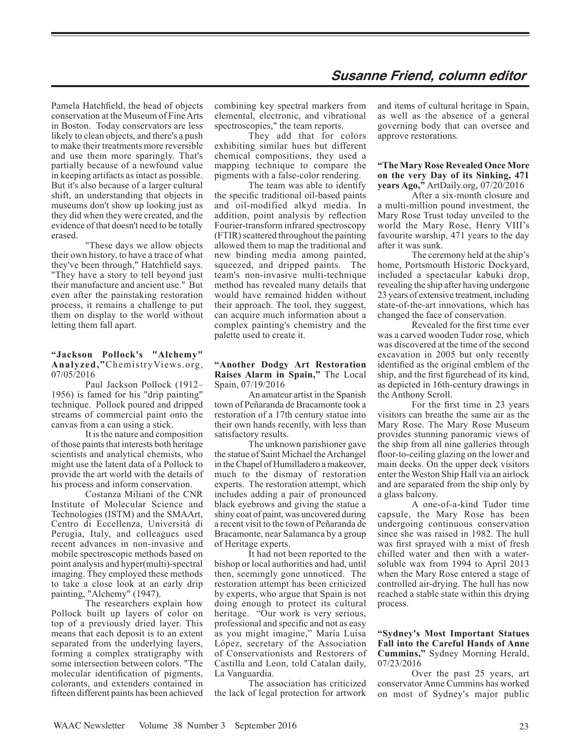Pamela Hatchfield, the head of objects conservation at the Museum of Fine Arts in Boston. Today conservators are less likely to clean objects, and there's a push to make their treatments more reversible and use them more sparingly. That's partially because of a newfound value in keeping artifacts as intact as possible. But it's also because of a larger cultural shift, an understanding that objects in museums don't show up looking just as they did when they were created, and the evidence of that doesn't need to be totally erased.

"These days we allow objects their own history, to have a trace of what they've been through," Hatchfield says. "They have a story to tell beyond just their manufacture and ancient use." But even after the painstaking restoration process, it remains a challenge to put them on display to the world without letting them fall apart.

## **"Jackson Pollock's "Alchemy" Analyzed,"**ChemistryViews.org, 07/05/2016

Paul Jackson Pollock (1912– 1956) is famed for his "drip painting" technique. Pollock poured and dripped streams of commercial paint onto the canvas from a can using a stick.

It is the nature and composition of those paints that interests both heritage scientists and analytical chemists, who might use the latent data of a Pollock to provide the art world with the details of his process and inform conservation.

Costanza Miliani of the CNR Institute of Molecular Science and Technologies (ISTM) and the SMAArt, Centro di Eccellenza, Università di Perugia, Italy, and colleagues used recent advances in non-invasive and mobile spectroscopic methods based on point analysis and hyper(multi)-spectral imaging. They employed these methods to take a close look at an early drip painting, "Alchemy" (1947).

The researchers explain how Pollock built up layers of color on top of a previously dried layer. This means that each deposit is to an extent separated from the underlying layers, forming a complex stratigraphy with some intersection between colors. "The molecular identification of pigments, colorants, and extenders contained in fifteen different paints has been achieved combining key spectral markers from elemental, electronic, and vibrational spectroscopies," the team reports.

They add that for colors exhibiting similar hues but different chemical compositions, they used a mapping technique to compare the pigments with a false-color rendering.

The team was able to identify the specific traditional oil-based paints and oil-modified alkyd media. In addition, point analysis by reflection Fourier-transform infrared spectroscopy (FTIR) scattered throughout the painting allowed them to map the traditional and new binding media among painted, squeezed, and dripped paints. The team's non-invasive multi-technique method has revealed many details that would have remained hidden without their approach. The tool, they suggest, can acquire much information about a complex painting's chemistry and the palette used to create it.

#### **"Another Dodgy Art Restoration Raises Alarm in Spain,"** The Local Spain, 07/19/2016

An amateur artist in the Spanish town of Peñaranda de Bracamonte took a restoration of a 17th century statue into their own hands recently, with less than satisfactory results.

The unknown parishioner gave the statue of Saint Michael the Archangel in the Chapel of Humilladero a makeover, much to the dismay of restoration experts. The restoration attempt, which includes adding a pair of pronounced black eyebrows and giving the statue a shiny coat of paint, was uncovered during a recent visit to the town of Peñaranda de Bracamonte, near Salamanca by a group of Heritage experts.

It had not been reported to the bishop or local authorities and had, until then, seemingly gone unnoticed. The restoration attempt has been criticized by experts, who argue that Spain is not doing enough to protect its cultural heritage. "Our work is very serious, professional and specific and not as easy as you might imagine," María Luisa López, secretary of the Association of Conservationists and Restorers of Castilla and Leon, told Catalan daily, La Vanguardia.

The association has criticized the lack of legal protection for artwork and items of cultural heritage in Spain, as well as the absence of a general governing body that can oversee and approve restorations.

## **"The Mary Rose Revealed Once More on the very Day of its Sinking, 471 years Ago,"** ArtDaily.org, 07/20/2016

After a six-month closure and a multi-million pound investment, the Mary Rose Trust today unveiled to the world the Mary Rose, Henry VIII's favourite warship, 471 years to the day after it was sunk.

The ceremony held at the ship's home, Portsmouth Historic Dockyard, included a spectacular kabuki drop, revealing the ship after having undergone 23 years of extensive treatment, including state-of-the-art innovations, which has changed the face of conservation.

Revealed for the first time ever was a carved wooden Tudor rose, which was discovered at the time of the second excavation in 2005 but only recently identified as the original emblem of the ship, and the first figurehead of its kind, as depicted in 16th-century drawings in the Anthony Scroll.

For the first time in 23 years visitors can breathe the same air as the Mary Rose. The Mary Rose Museum provides stunning panoramic views of the ship from all nine galleries through floor-to-ceiling glazing on the lower and main decks. On the upper deck visitors enter the Weston Ship Hall via an airlock and are separated from the ship only by a glass balcony.

A one-of-a-kind Tudor time capsule, the Mary Rose has been undergoing continuous conservation since she was raised in 1982. The hull was first sprayed with a mist of fresh chilled water and then with a watersoluble wax from 1994 to April 2013 when the Mary Rose entered a stage of controlled air-drying. The hull has now reached a stable state within this drying process.

#### **"Sydney's Most Important Statues Fall into the Careful Hands of Anne Cummins,"** Sydney Morning Herald, 07/23/2016

Over the past 25 years, art conservator Anne Cummins has worked on most of Sydney's major public